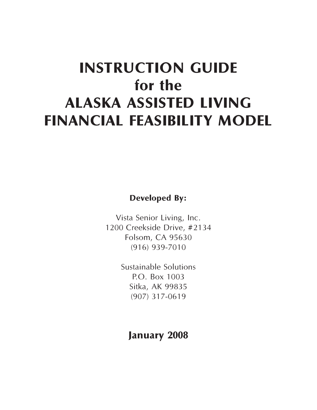# **INSTRUCTION GUIDE for the ALASKA ASSISTED LIVING FINANCIAL FEASIBILITY MODEL**

**Developed By:**

Vista Senior Living, Inc. 1200 Creekside Drive, #2134 Folsom, CA 95630 (916) 939-7010

> Sustainable Solutions P.O. Box 1003 Sitka, AK 99835 (907) 317-0619

**January 2008**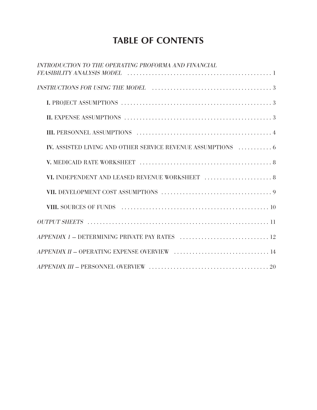### **TABLE OF CONTENTS**

| INTRODUCTION TO THE OPERATING PROFORMA AND FINANCIAL                                            |
|-------------------------------------------------------------------------------------------------|
|                                                                                                 |
|                                                                                                 |
|                                                                                                 |
|                                                                                                 |
| <b>IV.</b> ASSISTED LIVING AND OTHER SERVICE REVENUE ASSUMPTIONS  6                             |
|                                                                                                 |
| VI. INDEPENDENT AND LEASED REVENUE WORKSHEET $\ldots \ldots \ldots \ldots \ldots \ldots \ldots$ |
|                                                                                                 |
|                                                                                                 |
|                                                                                                 |
|                                                                                                 |
|                                                                                                 |
|                                                                                                 |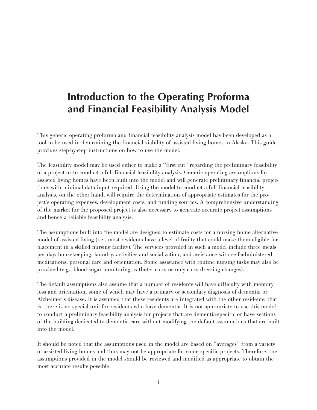### **Introduction to the Operating Proforma and Financial Feasibility Analysis Model**

This generic operating proforma and financial feasibility analysis model has been developed as a tool to be used in determining the financial viability of assisted living homes in Alaska. This guide provides step-by-step instructions on how to use the model.

The feasibility model may be used either to make a "first cut" regarding the preliminary feasibility of a project or to conduct a full financial feasibility analysis. Generic operating assumptions for assisted living homes have been built into the model and will generate preliminary financial projections with minimal data input required. Using the model to conduct a full financial feasibility analysis, on the other hand, will require the determination of appropriate estimates for the project's operating expenses, development costs, and funding sources. A comprehensive understanding of the market for the proposed project is also necessary to generate accurate project assumptions and hence a reliable feasibility analysis.

The assumptions built into the model are designed to estimate costs for a nursing home alternative model of assisted living (i.e., most residents have a level of frailty that could make them eligible for placement in a skilled nursing facility). The services provided in such a model include three meals per day, housekeeping, laundry, activities and socialization, and assistance with self-administered medications, personal care and orientation. Some assistance with routine nursing tasks may also be provided (e.g., blood sugar monitoring, catheter care, ostomy care, dressing changes).

The default assumptions also assume that a number of residents will have difficulty with memory loss and orientation, some of which may have a primary or secondary diagnosis of dementia or Alzheimer's disease. It is assumed that these residents are integrated with the other residents; that is, there is no special unit for residents who have dementia. It is not appropriate to use this model to conduct a preliminary feasibility analysis for projects that are dementia-specific or have sections of the building dedicated to dementia care without modifying the default assumptions that are built into the model.

It should be noted that the assumptions used in the model are based on "averages" from a variety of assisted living homes and thus may not be appropriate for some specific projects. Therefore, the assumptions provided in the model should be reviewed and modified as appropriate to obtain the most accurate results possible.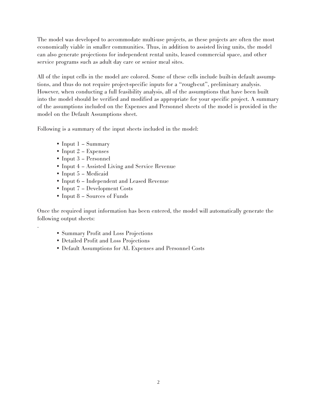The model was developed to accommodate multi-use projects, as these projects are often the most economically viable in smaller communities. Thus, in addition to assisted living units, the model can also generate projections for independent rental units, leased commercial space, and other service programs such as adult day care or senior meal sites.

All of the input cells in the model are colored. Some of these cells include built-in default assumptions, and thus do not require project-specific inputs for a "rough-cut", preliminary analysis. However, when conducting a full feasibility analysis, all of the assumptions that have been built into the model should be verified and modified as appropriate for your specific project. A summary of the assumptions included on the Expenses and Personnel sheets of the model is provided in the model on the Default Assumptions sheet.

Following is a summary of the input sheets included in the model:

- Input 1 Summary
- Input 2 Expenses
- Input 3 Personnel
- Input 4 Assisted Living and Service Revenue
- Input 5 Medicaid

.

- Input 6 Independent and Leased Revenue
- Input 7 Development Costs
- Input 8 Sources of Funds

Once the required input information has been entered, the model will automatically generate the following output sheets:

- Summary Profit and Loss Projections
- Detailed Profit and Loss Projections
- Default Assumptions for AL Expenses and Personnel Costs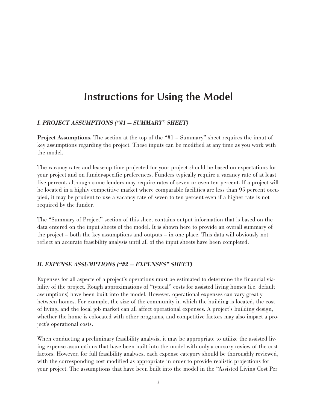### **Instructions for Using the Model**

### I. PROJECT ASSUMPTIONS ("#1 — SUMMARY" SHEET)

Project Assumptions. The section at the top of the "#1 – Summary" sheet requires the input of key assumptions regarding the project. These inputs can be modified at any time as you work with the model.

The vacancy rates and lease-up time projected for your project should be based on expectations for your project and on funder-specific preferences. Funders typically require a vacancy rate of at least five percent, although some lenders may require rates of seven or even ten percent. If a project will be located in a highly competitive market where comparable facilities are less than 95 percent occupied, it may be prudent to use a vacancy rate of seven to ten percent even if a higher rate is not required by the funder.

The "Summary of Project" section of this sheet contains output information that is based on the data entered on the input sheets of the model. It is shown here to provide an overall summary of the project – both the key assumptions and outputs – in one place. This data will obviously not reflect an accurate feasibility analysis until all of the input sheets have been completed.

#### II. EXPENSE ASSUMPTIONS ("#2 — EXPENSES" SHEET)

Expenses for all aspects of a project's operations must be estimated to determine the financial viability of the project. Rough approximations of "typical" costs for assisted living homes (i.e. default assumptions) have been built into the model. However, operational expenses can vary greatly between homes. For example, the size of the community in which the building is located, the cost of living, and the local job market can all affect operational expenses. A project's building design, whether the home is colocated with other programs, and competitive factors may also impact a project's operational costs.

When conducting a preliminary feasibility analysis, it may be appropriate to utilize the assisted living expense assumptions that have been built into the model with only a cursory review of the cost factors. However, for full feasibility analyses, each expense category should be thoroughly reviewed, with the corresponding cost modified as appropriate in order to provide realistic projections for your project. The assumptions that have been built into the model in the "Assisted Living Cost Per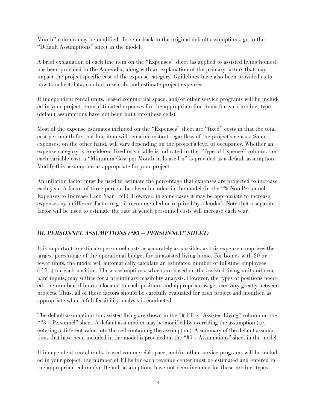Month" column may be modified. To refer back to the original default assumptions, go to the "Default Assumptions" sheet in the model.

A brief explanation of each line item on the "Expenses" sheet (as applied to assisted living homes) has been provided in the Appendix, along with an explanation of the primary factors that may impact the project-specific cost of the expense category. Guidelines have also been provided as to how to collect data, conduct research, and estimate project expenses.

If independent rental units, leased commercial space, and/or other service programs will be included in your project, enter estimated expenses for the appropriate line items for each product type (default assumptions have not been built into these cells).

Most of the expense estimates included on the "Expenses" sheet are "fixed" costs in that the total cost per month for that line item will remain constant regardless of the project's census. Some expenses, on the other hand, will vary depending on the project's level of occupancy. Whether an expense category is considered fixed or variable is indicated in the "Type of Expense" column. For each variable cost, a "Minimum Cost per Month in Lease-Up" is provided as a default assumption. Modify this assumption as appropriate for your project.

An inflation factor must be used to estimate the percentage that expenses are projected to increase each year. A factor of three percent has been included in the model (in the "% Non-Personnel Expenses to Increase Each Year" cell). However, in some cases it may be appropriate to increase expenses by a different factor (e.g., if recommended or required by a lender). Note that a separate factor will be used to estimate the rate at which personnel costs will increase each year.

### III. PERSONNEL ASSUMPTIONS ("#3 — PERSONNEL" SHEET)

It is important to estimate personnel costs as accurately as possible, as this expense comprises the largest percentage of the operational budget for an assisted living home. For homes with 20 or fewer units, the model will automatically calculate an estimated number of full-time employees (FTEs) for each position. These assumptions, which are based on the assisted living unit and occupant inputs, may suffice for a preliminary feasibility analysis. However, the types of positions needed, the number of hours allocated to each position, and appropriate wages can vary greatly between projects. Thus, all of these factors should be carefully evaluated for each project and modified as appropriate when a full feasibility analysis is conducted.

The default assumptions for assisted living are shown in the "# FTEs - Assisted Living" column on the "#3 – Personnel" sheet. A default assumption may be modified by overriding the assumption (i.e. entering a different value into the cell containing the assumption). A summary of the default assumptions that have been included in the model is provided on the "#9 – Assumptions" sheet in the model.

If independent rental units, leased commercial space, and/or other service programs will be included in your project, the number of FTEs for each revenue center must be estimated and entered in the appropriate column(s). Default assumptions have not been included for these product types.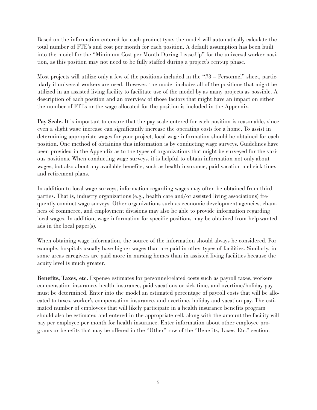Based on the information entered for each product type, the model will automatically calculate the total number of FTE's and cost per month for each position. A default assumption has been built into the model for the "Minimum Cost per Month During Lease-Up" for the universal worker position, as this position may not need to be fully staffed during a project's rent-up phase.

Most projects will utilize only a few of the positions included in the "#3 – Personnel" sheet, particularly if universal workers are used. However, the model includes all of the positions that might be utilized in an assisted living facility to facilitate use of the model by as many projects as possible. A description of each position and an overview of those factors that might have an impact on either the number of FTEs or the wage allocated for the position is included in the Appendix.

Pay Scale. It is important to ensure that the pay scale entered for each position is reasonable, since even a slight wage increase can significantly increase the operating costs for a home. To assist in determining appropriate wages for your project, local wage information should be obtained for each position. One method of obtaining this information is by conducting wage surveys. Guidelines have been provided in the Appendix as to the types of organizations that might be surveyed for the various positions. When conducting wage surveys, it is helpful to obtain information not only about wages, but also about any available benefits, such as health insurance, paid vacation and sick time, and retirement plans.

In addition to local wage surveys, information regarding wages may often be obtained from third parties. That is, industry organizations (e.g., health care and/or assisted living associations) frequently conduct wage surveys. Other organizations such as economic development agencies, chambers of commerce, and employment divisions may also be able to provide information regarding local wages. In addition, wage information for specific positions may be obtained from help-wanted ads in the local paper(s).

When obtaining wage information, the source of the information should always be considered. For example, hospitals usually have higher wages than are paid in other types of facilities. Similarly, in some areas caregivers are paid more in nursing homes than in assisted living facilities because the acuity level is much greater.

Benefits, Taxes, etc. Expense estimates for personnel-related costs such as payroll taxes, workers compensation insurance, health insurance, paid vacations or sick time, and overtime/holiday pay must be determined. Enter into the model an estimated percentage of payroll costs that will be allocated to taxes, worker's compensation insurance, and overtime, holiday and vacation pay. The estimated number of employees that will likely participate in a health insurance benefits program should also be estimated and entered in the appropriate cell, along with the amount the facility will pay per employee per month for health insurance. Enter information about other employee programs or benefits that may be offered in the "Other" row of the "Benefits, Taxes, Etc." section.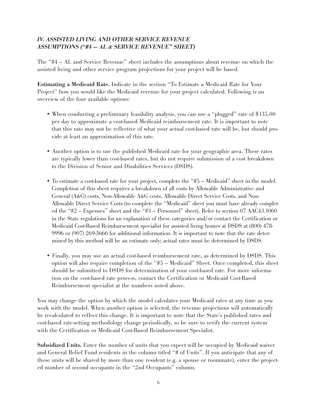### IV. ASSISTED LIVING AND OTHER SERVICE REVENUE ASSUMPTIONS ("#4 — AL & SERVICE REVENUE" SHEET)

The "#4 – AL and Service Revenue" sheet includes the assumptions about revenue on which the assisted living and other service program projections for your project will be based.

Estimating a Medicaid Rate. Indicate in the section "To Estimate a Medicaid Rate for Your Project" how you would like the Medicaid revenue for your project calculated. Following is an overview of the four available options:

- When conducting a preliminary feasibility analysis, you can use a "plugged" rate of \$135.00 per day to approximate a cost-based Medicaid reimbursement rate. It is important to note that this rate may not be reflective of what your actual cost-based rate will be, but should provide at least an approximation of this rate.
- Another option is to use the published Medicaid rate for your geographic area. These rates are typically lower than cost-based rates, but do not require submission of a cost breakdown to the Division of Senior and Disabilities Services (DSDS).
- To estimate a cost-based rate for your project, complete the "#5 Medicaid" sheet in the model. Completion of this sheet requires a breakdown of all costs by Allowable Administrative and General (A&G) costs, Non-Allowable A&G costs, Allowable Direct Service Costs, and Non-Allowable Direct Service Costs (to complete the "Medicaid" sheet you must have already completed the "#2 – Expenses" sheet and the "#3 – Personnel" sheet). Refer to section 07 AAC43.1060 in the State regulations for an explanation of these categories and/or contact the Certification or Medicaid Cost-Based Reimbursement specialist for assisted living homes at DSDS at (800) 478- 9996 or (907) 269-3666 for additional information. It is important to note that the rate determined by this method will be an estimate only; actual rates must be determined by DSDS.
- Finally, you may use an actual cost-based reimbursement rate, as determined by DSDS. This option will also require completion of the "#5 – Medicaid" Sheet. Once completed, this sheet should be submitted to DSDS for determination of your cost-based rate. For more information on the cost-based rate process, contact the Certification or Medicaid Cost-Based Reimbursement specialist at the numbers noted above.

You may change the option by which the model calculates your Medicaid rates at any time as you work with the model. When another option is selected, the revenue projections will automatically be recalculated to reflect this change. It is important to note that the State's published rates and cost-based rate-setting methodology change periodically, so be sure to verify the current system with the Certification or Medicaid Cost-Based Reimbursement Specialist.

Subsidized Units. Enter the number of units that you expect will be occupied by Medicaid waiver and General Relief Fund residents in the column titled "# of Units". If you anticipate that any of these units will be shared by more than one resident (e.g. a spouse or roommate), enter the projected number of second occupants in the "2nd Occupants" column.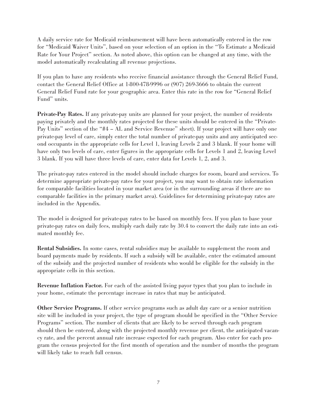A daily service rate for Medicaid reimbursement will have been automatically entered in the row for "Medicaid Waiver Units", based on your selection of an option in the "To Estimate a Medicaid Rate for Your Project" section. As noted above, this option can be changed at any time, with the model automatically recalculating all revenue projections.

If you plan to have any residents who receive financial assistance through the General Relief Fund, contact the General Relief Office at 1-800-478-9996 or (907) 269-3666 to obtain the current General Relief Fund rate for your geographic area. Enter this rate in the row for "General Relief Fund" units.

Private-Pay Rates. If any private-pay units are planned for your project, the number of residents paying privately and the monthly rates projected for these units should be entered in the "Private-Pay Units" section of the "#4 – AL and Service Revenue" sheet). If your project will have only one private-pay level of care, simply enter the total number of private-pay units and any anticipated second occupants in the appropriate cells for Level 1, leaving Levels 2 and 3 blank. If your home will have only two levels of care, enter figures in the appropriate cells for Levels 1 and 2, leaving Level 3 blank. If you will have three levels of care, enter data for Levels 1, 2, and 3.

The private-pay rates entered in the model should include charges for room, board and services. To determine appropriate private-pay rates for your project, you may want to obtain rate information for comparable facilities located in your market area (or in the surrounding areas if there are no comparable facilities in the primary market area). Guidelines for determining private-pay rates are included in the Appendix.

The model is designed for private-pay rates to be based on monthly fees. If you plan to base your private-pay rates on daily fees, multiply each daily rate by 30.4 to convert the daily rate into an estimated monthly fee.

Rental Subsidies. In some cases, rental subsidies may be available to supplement the room and board payments made by residents. If such a subsidy will be available, enter the estimated amount of the subsidy and the projected number of residents who would be eligible for the subsidy in the appropriate cells in this section.

Revenue Inflation Factor. For each of the assisted living payor types that you plan to include in your home, estimate the percentage increase in rates that may be anticipated.

Other Service Programs. If other service programs such as adult day care or a senior nutrition site will be included in your project, the type of program should be specified in the "Other Service Programs" section. The number of clients that are likely to be served through each program should then be entered, along with the projected monthly revenue per client, the anticipated vacancy rate, and the percent annual rate increase expected for each program. Also enter for each program the census projected for the first month of operation and the number of months the program will likely take to reach full census.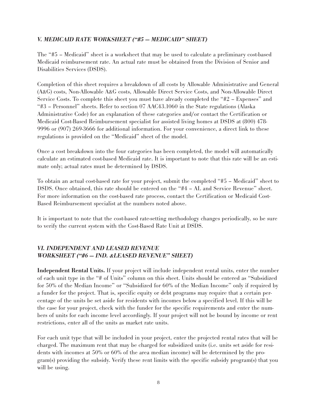### V. MEDICAID RATE WORKSHEET ("#5 — MEDICAID" SHEET)

The "#5 – Medicaid" sheet is a worksheet that may be used to calculate a preliminary cost-based Medicaid reimbursement rate. An actual rate must be obtained from the Division of Senior and Disabilities Services (DSDS).

Completion of this sheet requires a breakdown of all costs by Allowable Administrative and General (A&G) costs, Non-Allowable A&G costs, Allowable Direct Service Costs, and Non-Allowable Direct Service Costs. To complete this sheet you must have already completed the "#2 – Expenses" and "#3 – Personnel" sheets. Refer to section 07 AAC43.1060 in the State regulations (Alaska Administrative Code) for an explanation of these categories and/or contact the Certification or Medicaid Cost-Based Reimbursement specialist for assisted living homes at DSDS at (800) 478- 9996 or (907) 269-3666 for additional information. For your convenience, a direct link to these regulations is provided on the "Medicaid" sheet of the model.

Once a cost breakdown into the four categories has been completed, the model will automatically calculate an estimated cost-based Medicaid rate. It is important to note that this rate will be an estimate only; actual rates must be determined by DSDS.

To obtain an actual cost-based rate for your project, submit the completed "#5 – Medicaid" sheet to DSDS. Once obtained, this rate should be entered on the "#4 – AL and Service Revenue" sheet. For more information on the cost-based rate process, contact the Certification or Medicaid Cost-Based Reimbursement specialist at the numbers noted above.

It is important to note that the cost-based rate-setting methodology changes periodically, so be sure to verify the current system with the Cost-Based Rate Unit at DSDS.

### VI. INDEPENDENT AND LEASED REVENUE WORKSHEET ("#6 — IND. &LEASED REVENUE" SHEET)

Independent Rental Units. If your project will include independent rental units, enter the number of each unit type in the "# of Units" column on this sheet. Units should be entered as "Subsidized for 50% of the Median Income" or "Subsidized for 60% of the Median Income" only if required by a funder for the project. That is, specific equity or debt programs may require that a certain percentage of the units be set aside for residents with incomes below a specified level. If this will be the case for your project, check with the funder for the specific requirements and enter the numbers of units for each income level accordingly. If your project will not be bound by income or rent restrictions, enter all of the units as market rate units.

For each unit type that will be included in your project, enter the projected rental rates that will be charged. The maximum rent that may be charged for subsidized units (i.e. units set aside for residents with incomes at 50% or 60% of the area median income) will be determined by the program(s) providing the subsidy. Verify these rent limits with the specific subsidy program(s) that you will be using.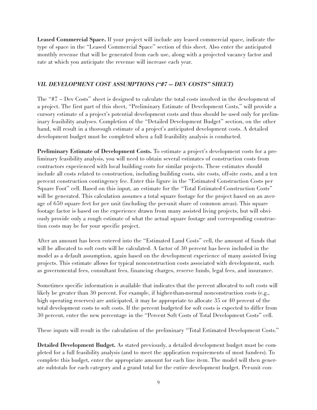Leased Commercial Space. If your project will include any leased commercial space, indicate the type of space in the "Leased Commercial Space" section of this sheet. Also enter the anticipated monthly revenue that will be generated from each use, along with a projected vacancy factor and rate at which you anticipate the revenue will increase each year.

### VII. DEVELOPMENT COST ASSUMPTIONS ("#7 — DEV COSTS" SHEET)

The "#7 – Dev Costs" sheet is designed to calculate the total costs involved in the development of a project. The first part of this sheet, "Preliminary Estimate of Development Costs," will provide a cursory estimate of a project's potential development costs and thus should be used only for preliminary feasibility analyses. Completion of the "Detailed Development Budget" section, on the other hand, will result in a thorough estimate of a project's anticipated development costs. A detailed development budget must be completed when a full feasibility analysis is conducted.

Preliminary Estimate of Development Costs. To estimate a project's development costs for a preliminary feasibility analysis, you will need to obtain several estimates of construction costs from contractors experienced with local building costs for similar projects. These estimates should include all costs related to construction, including building costs, site costs, off-site costs, and a ten percent construction contingency fee. Enter this figure in the "Estimated Construction Costs per Square Foot" cell. Based on this input, an estimate for the "Total Estimated Construction Costs" will be generated. This calculation assumes a total square footage for the project based on an average of 650 square feet for per unit (including the per-unit share of common areas). This square footage factor is based on the experience drawn from many assisted living projects, but will obviously provide only a rough estimate of what the actual square footage and corresponding construction costs may be for your specific project.

After an amount has been entered into the "Estimated Land Costs" cell, the amount of funds that will be allocated to soft costs will be calculated. A factor of 30 percent has been included in the model as a default assumption, again based on the development experience of many assisted living projects. This estimate allows for typical nonconstruction costs associated with development, such as governmental fees, consultant fees, financing charges, reserve funds, legal fees, and insurance.

Sometimes specific information is available that indicates that the percent allocated to soft costs will likely be greater than 30 percent. For example, if higher-than-normal nonconstruction costs (e.g., high operating reserves) are anticipated, it may be appropriate to allocate 35 or 40 percent of the total development costs to soft costs. If the percent budgeted for soft costs is expected to differ from 30 percent, enter the new percentage in the "Percent Soft Costs of Total Development Costs" cell.

These inputs will result in the calculation of the preliminary "Total Estimated Development Costs."

Detailed Development Budget. As stated previously, a detailed development budget must be completed for a full feasibility analysis (and to meet the application requirements of most funders). To complete this budget, enter the appropriate amount for each line item. The model will then generate subtotals for each category and a grand total for the entire development budget. Per-unit con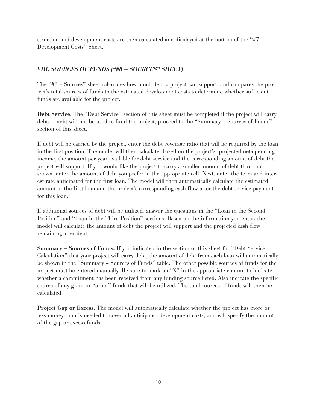struction and development costs are then calculated and displayed at the bottom of the "#7 – Development Costs" Sheet.

### VIII. SOURCES OF FUNDS ("#8 — SOURCES" SHEET)

The "#8 – Sources" sheet calculates how much debt a project can support, and compares the project's total sources of funds to the estimated development costs to determine whether sufficient funds are available for the project.

Debt Service. The "Debt Service" section of this sheet must be completed if the project will carry debt. If debt will not be used to fund the project, proceed to the "Summary – Sources of Funds" section of this sheet.

If debt will be carried by the project, enter the debt coverage ratio that will be required by the loan in the first position. The model will then calculate, based on the project's projected net-operating income, the amount per year available for debt service and the corresponding amount of debt the project will support. If you would like the project to carry a smaller amount of debt than that shown, enter the amount of debt you prefer in the appropriate cell. Next, enter the term and interest rate anticipated for the first loan. The model will then automatically calculate the estimated amount of the first loan and the project's corresponding cash flow after the debt service payment for this loan.

If additional sources of debt will be utilized, answer the questions in the "Loan in the Second Position" and "Loan in the Third Position" sections. Based on the information you enter, the model will calculate the amount of debt the project will support and the projected cash flow remaining after debt.

Summary – Sources of Funds. If you indicated in the section of this sheet for "Debt Service Calculation" that your project will carry debt, the amount of debt from each loan will automatically be shown in the "Summary – Sources of Funds" table. The other possible sources of funds for the project must be entered manually. Be sure to mark an "X" in the appropriate column to indicate whether a commitment has been received from any funding source listed. Also indicate the specific source of any grant or "other" funds that will be utilized. The total sources of funds will then be calculated.

Project Gap or Excess. The model will automatically calculate whether the project has more or less money than is needed to cover all anticipated development costs, and will specify the amount of the gap or excess funds.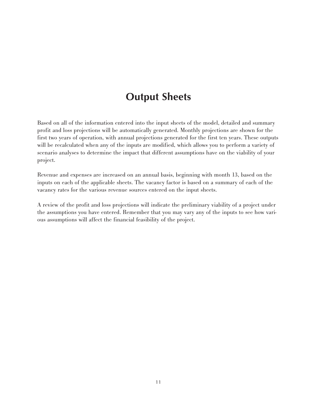### **Output Sheets**

Based on all of the information entered into the input sheets of the model, detailed and summary profit and loss projections will be automatically generated. Monthly projections are shown for the first two years of operation, with annual projections generated for the first ten years. These outputs will be recalculated when any of the inputs are modified, which allows you to perform a variety of scenario analyses to determine the impact that different assumptions have on the viability of your project.

Revenue and expenses are increased on an annual basis, beginning with month 13, based on the inputs on each of the applicable sheets. The vacancy factor is based on a summary of each of the vacancy rates for the various revenue sources entered on the input sheets.

A review of the profit and loss projections will indicate the preliminary viability of a project under the assumptions you have entered. Remember that you may vary any of the inputs to see how various assumptions will affect the financial feasibility of the project.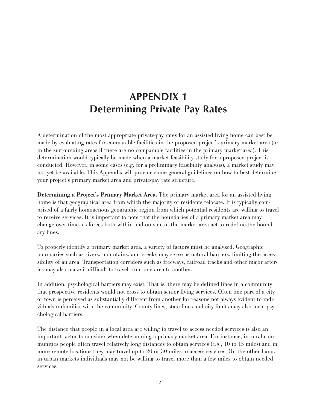# **APPENDIX 1 Determining Private Pay Rates**

A determination of the most appropriate private-pay rates for an assisted living home can best be made by evaluating rates for comparable facilities in the proposed project's primary market area (or in the surrounding areas if there are no comparable facilities in the primary market area). This determination would typically be made when a market feasibility study for a proposed project is conducted. However, in some cases (e.g. for a preliminary feasibility analysis), a market study may not yet be available. This Appendix will provide some general guidelines on how to best determine your project's primary market area and private-pay rate structure.

Determining a Project's Primary Market Area. The primary market area for an assisted living home is that geographical area from which the majority of residents relocate. It is typically comprised of a fairly homogenous geographic region from which potential residents are willing to travel to receive services. It is important to note that the boundaries of a primary market area may change over time, as forces both within and outside of the market area act to redefine the boundary lines.

To properly identify a primary market area, a variety of factors must be analyzed. Geographic boundaries such as rivers, mountains, and creeks may serve as natural barriers, limiting the accessibility of an area. Transportation corridors such as freeways, railroad tracks and other major arteries may also make it difficult to travel from one area to another.

In addition, psychological barriers may exist. That is, there may be defined lines in a community that prospective residents would not cross to obtain senior living services. Often one part of a city or town is perceived as substantially different from another for reasons not always evident to individuals unfamiliar with the community. County lines, state lines and city limits may also form psychological barriers.

The distance that people in a local area are willing to travel to access needed services is also an important factor to consider when determining a primary market area. For instance, in rural communities people often travel relatively long distances to obtain services (e.g., 10 to 15 miles) and in more remote locations they may travel up to 20 or 30 miles to access services. On the other hand, in urban markets individuals may not be willing to travel more than a few miles to obtain needed services.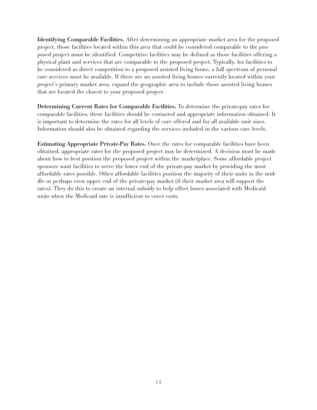Identifying Comparable Facilities. After determining an appropriate market area for the proposed project, those facilities located within this area that could be considered comparable to the proposed project must be identified. Competitive facilities may be defined as those facilities offering a physical plant and services that are comparable to the proposed project. Typically, for facilities to be considered as direct competition to a proposed assisted living home, a full spectrum of personal care services must be available. If there are no assisted living homes currently located within your project's primary market area, expand the geographic area to include those assisted living homes that are located the closest to your proposed project.

Determining Current Rates for Comparable Facilities. To determine the private-pay rates for comparable facilities, these facilities should be contacted and appropriate information obtained. It is important to determine the rates for all levels of care offered and for all available unit sizes. Information should also be obtained regarding the services included in the various care levels.

Estimating Appropriate Private-Pay Rates. Once the rates for comparable facilities have been obtained, appropriate rates for the proposed project may be determined. A decision must be made about how to best position the proposed project within the marketplace. Some affordable project sponsors want facilities to serve the lower end of the private-pay market by providing the most affordable rates possible. Other affordable facilities position the majority of their units in the middle or perhaps even upper end of the private-pay market (if their market area will support the rates). They do this to create an internal subsidy to help offset losses associated with Medicaid units when the Medicaid rate is insufficient to cover costs.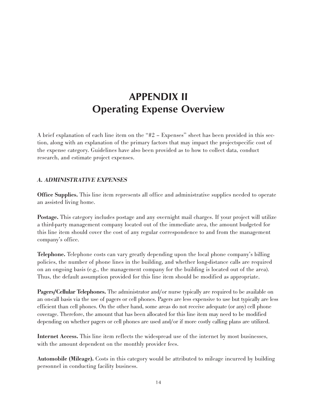# **APPENDIX II Operating Expense Overview**

A brief explanation of each line item on the "#2 – Expenses" sheet has been provided in this section, along with an explanation of the primary factors that may impact the projectspecific cost of the expense category. Guidelines have also been provided as to how to collect data, conduct research, and estimate project expenses.

### A. ADMINISTRATIVE EXPENSES

Office Supplies. This line item represents all office and administrative supplies needed to operate an assisted living home.

Postage. This category includes postage and any overnight mail charges. If your project will utilize a third-party management company located out of the immediate area, the amount budgeted for this line item should cover the cost of any regular correspondence to and from the management company's office.

Telephone. Telephone costs can vary greatly depending upon the local phone company's billing policies, the number of phone lines in the building, and whether long-distance calls are required on an ongoing basis (e.g., the management company for the building is located out of the area). Thus, the default assumption provided for this line item should be modified as appropriate.

Pagers/Cellular Telephones. The administrator and/or nurse typically are required to be available on an on-call basis via the use of pagers or cell phones. Pagers are less expensive to use but typically are less efficient than cell phones. On the other hand, some areas do not receive adequate (or any) cell phone coverage. Therefore, the amount that has been allocated for this line item may need to be modified depending on whether pagers or cell phones are used and/or if more costly calling plans are utilized.

Internet Access. This line item reflects the widespread use of the internet by most businesses, with the amount dependent on the monthly provider fees.

Automobile (Mileage). Costs in this category would be attributed to mileage incurred by building personnel in conducting facility business.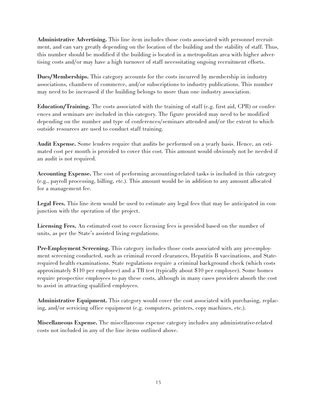Administrative Advertising. This line item includes those costs associated with personnel recruitment, and can vary greatly depending on the location of the building and the stability of staff. Thus, this number should be modified if the building is located in a metropolitan area with higher advertising costs and/or may have a high turnover of staff necessitating ongoing recruitment efforts.

Dues/Memberships. This category accounts for the costs incurred by membership in industry associations, chambers of commerce, and/or subscriptions to industry publications. This number may need to be increased if the building belongs to more than one industry association.

Education/Training. The costs associated with the training of staff (e.g. first aid, CPR) or conferences and seminars are included in this category. The figure provided may need to be modified depending on the number and type of conferences/seminars attended and/or the extent to which outside resources are used to conduct staff training.

Audit Expense. Some lenders require that audits be performed on a yearly basis. Hence, an estimated cost per month is provided to cover this cost. This amount would obviously not be needed if an audit is not required.

Accounting Expense. The cost of performing accounting-related tasks is included in this category (e.g., payroll processing, billing, etc.). This amount would be in addition to any amount allocated for a management fee.

Legal Fees. This line item would be used to estimate any legal fees that may be anticipated in conjunction with the operation of the project.

Licensing Fees. An estimated cost to cover licensing fees is provided based on the number of units, as per the State's assisted living regulations.

Pre-Employment Screening. This category includes those costs associated with any pre-employment screening conducted, such as criminal record clearances, Hepatitis B vaccinations, and Staterequired health examinations. State regulations require a criminal background check (which costs approximately \$110 per employee) and a TB test (typically about \$10 per employee). Some homes require prospective employees to pay these costs, although in many cases providers absorb the cost to assist in attracting qualified employees.

Administrative Equipment. This category would cover the cost associated with purchasing, replacing, and/or servicing office equipment (e.g. computers, printers, copy machines, etc.).

Miscellaneous Expense. The miscellaneous expense category includes any administrative-related costs not included in any of the line items outlined above.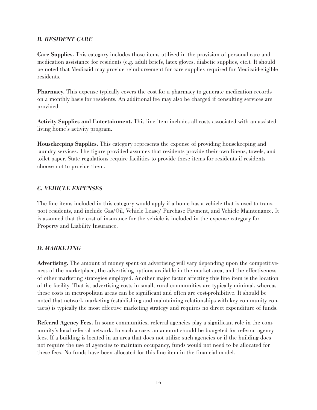#### B. RESIDENT CARE

Care Supplies. This category includes those items utilized in the provision of personal care and medication assistance for residents (e.g. adult briefs, latex gloves, diabetic supplies, etc.). It should be noted that Medicaid may provide reimbursement for care supplies required for Medicaid-eligible residents.

Pharmacy. This expense typically covers the cost for a pharmacy to generate medication records on a monthly basis for residents. An additional fee may also be charged if consulting services are provided.

Activity Supplies and Entertainment. This line item includes all costs associated with an assisted living home's activity program.

Housekeeping Supplies. This category represents the expense of providing housekeeping and laundry services. The figure provided assumes that residents provide their own linens, towels, and toilet paper. State regulations require facilities to provide these items for residents if residents choose not to provide them.

#### C. VEHICLE EXPENSES

The line items included in this category would apply if a home has a vehicle that is used to transport residents, and include Gas/Oil, Vehicle Lease/ Purchase Payment, and Vehicle Maintenance. It is assumed that the cost of insurance for the vehicle is included in the expense category for Property and Liability Insurance.

### D. MARKETING

Advertising. The amount of money spent on advertising will vary depending upon the competitiveness of the marketplace, the advertising options available in the market area, and the effectiveness of other marketing strategies employed. Another major factor affecting this line item is the location of the facility. That is, advertising costs in small, rural communities are typically minimal, whereas these costs in metropolitan areas can be significant and often are cost-prohibitive. It should be noted that network marketing (establishing and maintaining relationships with key community contacts) is typically the most effective marketing strategy and requires no direct expenditure of funds.

Referral Agency Fees. In some communities, referral agencies play a significant role in the community's local referral network. In such a case, an amount should be budgeted for referral agency fees. If a building is located in an area that does not utilize such agencies or if the building does not require the use of agencies to maintain occupancy, funds would not need to be allocated for these fees. No funds have been allocated for this line item in the financial model.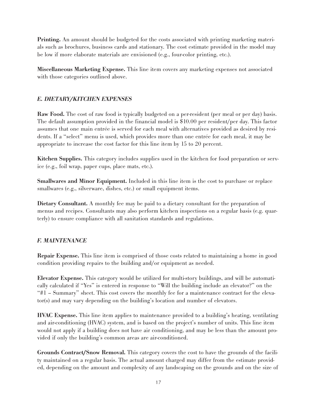Printing. An amount should be budgeted for the costs associated with printing marketing materials such as brochures, business cards and stationary. The cost estimate provided in the model may be low if more elaborate materials are envisioned (e.g., four-color printing, etc.).

Miscellaneous Marketing Expense. This line item covers any marketing expenses not associated with those categories outlined above.

### E. DIETARY/KITCHEN EXPENSES

Raw Food. The cost of raw food is typically budgeted on a per-resident (per meal or per day) basis. The default assumption provided in the financial model is \$10.00 per resident/per day. This factor assumes that one main entrée is served for each meal with alternatives provided as desired by residents. If a "select" menu is used, which provides more than one entrée for each meal, it may be appropriate to increase the cost factor for this line item by 15 to 20 percent.

Kitchen Supplies. This category includes supplies used in the kitchen for food preparation or service (e.g., foil wrap, paper cups, place mats, etc.).

Smallwares and Minor Equipment. Included in this line item is the cost to purchase or replace smallwares (e.g., silverware, dishes, etc.) or small equipment items.

Dietary Consultant. A monthly fee may be paid to a dietary consultant for the preparation of menus and recipes. Consultants may also perform kitchen inspections on a regular basis (e.g. quarterly) to ensure compliance with all sanitation standards and regulations.

#### F. MAINTENANCE

Repair Expense. This line item is comprised of those costs related to maintaining a home in good condition providing repairs to the building and/or equipment as needed.

Elevator Expense. This category would be utilized for multi-story buildings, and will be automatically calculated if "Yes" is entered in response to "Will the building include an elevator?" on the "#1 – Summary" sheet. This cost covers the monthly fee for a maintenance contract for the elevator(s) and may vary depending on the building's location and number of elevators.

HVAC Expense. This line item applies to maintenance provided to a building's heating, ventilating and air-conditioning (HVAC) system, and is based on the project's number of units. This line item would not apply if a building does not have air conditioning, and may be less than the amount provided if only the building's common areas are air-conditioned.

Grounds Contract/Snow Removal. This category covers the cost to have the grounds of the facility maintained on a regular basis. The actual amount charged may differ from the estimate provided, depending on the amount and complexity of any landscaping on the grounds and on the size of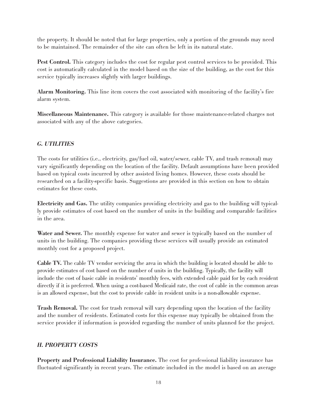the property. It should be noted that for large properties, only a portion of the grounds may need to be maintained. The remainder of the site can often be left in its natural state.

Pest Control. This category includes the cost for regular pest control services to be provided. This cost is automatically calculated in the model based on the size of the building, as the cost for this service typically increases slightly with larger buildings.

Alarm Monitoring. This line item covers the cost associated with monitoring of the facility's fire alarm system.

Miscellaneous Maintenance. This category is available for those maintenance-related charges not associated with any of the above categories.

### G. UTILITIES

The costs for utilities (i.e., electricity, gas/fuel oil, water/sewer, cable TV, and trash removal) may vary significantly depending on the location of the facility. Default assumptions have been provided based on typical costs incurred by other assisted living homes. However, these costs should be researched on a facility-specific basis. Suggestions are provided in this section on how to obtain estimates for these costs.

Electricity and Gas. The utility companies providing electricity and gas to the building will typically provide estimates of cost based on the number of units in the building and comparable facilities in the area.

Water and Sewer. The monthly expense for water and sewer is typically based on the number of units in the building. The companies providing these services will usually provide an estimated monthly cost for a proposed project.

Cable TV. The cable TV vendor servicing the area in which the building is located should be able to provide estimates of cost based on the number of units in the building. Typically, the facility will include the cost of basic cable in residents' monthly fees, with extended cable paid for by each resident directly if it is preferred. When using a cost-based Medicaid rate, the cost of cable in the common areas is an allowed expense, but the cost to provide cable in resident units is a non-allowable expense.

Trash Removal. The cost for trash removal will vary depending upon the location of the facility and the number of residents. Estimated costs for this expense may typically be obtained from the service provider if information is provided regarding the number of units planned for the project.

#### H. PROPERTY COSTS

Property and Professional Liability Insurance. The cost for professional liability insurance has fluctuated significantly in recent years. The estimate included in the model is based on an average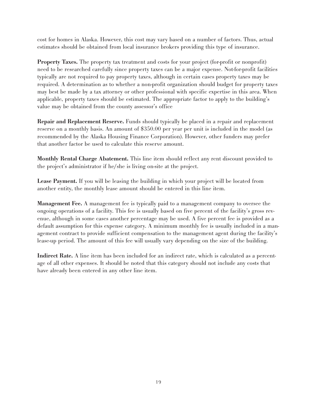cost for homes in Alaska. However, this cost may vary based on a number of factors. Thus, actual estimates should be obtained from local insurance brokers providing this type of insurance.

Property Taxes. The property tax treatment and costs for your project (for-profit or nonprofit) need to be researched carefully since property taxes can be a major expense. Not-for-profit facilities typically are not required to pay property taxes, although in certain cases property taxes may be required. A determination as to whether a non-profit organization should budget for property taxes may best be made by a tax attorney or other professional with specific expertise in this area. When applicable, property taxes should be estimated. The appropriate factor to apply to the building's value may be obtained from the county assessor's office

Repair and Replacement Reserve. Funds should typically be placed in a repair and replacement reserve on a monthly basis. An amount of \$350.00 per year per unit is included in the model (as recommended by the Alaska Housing Finance Corporation). However, other funders may prefer that another factor be used to calculate this reserve amount.

Monthly Rental Charge Abatement. This line item should reflect any rent discount provided to the project's administrator if he/she is living on-site at the project.

Lease Payment. If you will be leasing the building in which your project will be located from another entity, the monthly lease amount should be entered in this line item.

Management Fee. A management fee is typically paid to a management company to oversee the ongoing operations of a facility. This fee is usually based on five percent of the facility's gross revenue, although in some cases another percentage may be used. A five percent fee is provided as a default assumption for this expense category. A minimum monthly fee is usually included in a management contract to provide sufficient compensation to the management agent during the facility's lease-up period. The amount of this fee will usually vary depending on the size of the building.

Indirect Rate. A line item has been included for an indirect rate, which is calculated as a percentage of all other expenses. It should be noted that this category should not include any costs that have already been entered in any other line item.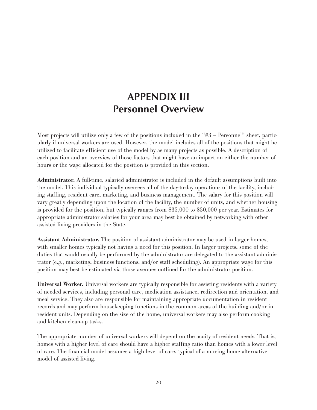### **APPENDIX III Personnel Overview**

Most projects will utilize only a few of the positions included in the "#3 – Personnel" sheet, particularly if universal workers are used. However, the model includes all of the positions that might be utilized to facilitate efficient use of the model by as many projects as possible. A description of each position and an overview of those factors that might have an impact on either the number of hours or the wage allocated for the position is provided in this section.

Administrator. A full-time, salaried administrator is included in the default assumptions built into the model. This individual typically oversees all of the day-to-day operations of the facility, including staffing, resident care, marketing, and business management. The salary for this position will vary greatly depending upon the location of the facility, the number of units, and whether housing is provided for the position, but typically ranges from \$35,000 to \$50,000 per year. Estimates for appropriate administrator salaries for your area may best be obtained by networking with other assisted living providers in the State.

Assistant Administrator. The position of assistant administrator may be used in larger homes, with smaller homes typically not having a need for this position. In larger projects, some of the duties that would usually be performed by the administrator are delegated to the assistant administrator (e.g., marketing, business functions, and/or staff scheduling). An appropriate wage for this position may best be estimated via those avenues outlined for the administrator position.

Universal Worker. Universal workers are typically responsible for assisting residents with a variety of needed services, including personal care, medication assistance, redirection and orientation, and meal service. They also are responsible for maintaining appropriate documentation in resident records and may perform housekeeping functions in the common areas of the building and/or in resident units. Depending on the size of the home, universal workers may also perform cooking and kitchen clean-up tasks.

The appropriate number of universal workers will depend on the acuity of resident needs. That is, homes with a higher level of care should have a higher staffing ratio than homes with a lower level of care. The financial model assumes a high level of care, typical of a nursing home alternative model of assisted living.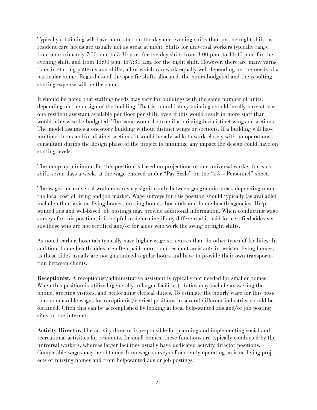Typically a building will have more staff on the day and evening shifts than on the night shift, as resident care needs are usually not as great at night. Shifts for universal workers typically range from approximately 7:00 a.m. to 3:30 p.m. for the day shift, from 3:00 p.m. to 11:30 p.m. for the evening shift, and from 11:00 p.m. to 7:30 a.m. for the night shift. However, there are many variations in staffing patterns and shifts, all of which can work equally well depending on the needs of a particular home. Regardless of the specific shifts allocated, the hours budgeted and the resulting staffing expense will be the same.

It should be noted that staffing needs may vary for buildings with the same number of units, depending on the design of the building. That is, a multi-story building should ideally have at least one resident assistant available per floor per shift, even if this would result in more staff than would otherwise be budgeted. The same would be true if a building has distinct wings or sections. The model assumes a one-story building without distinct wings or sections. If a building will have multiple floors and/or distinct sections, it would be advisable to work closely with an operations consultant during the design phase of the project to minimize any impact the design could have on staffing levels.

The ramp-up minimum for this position is based on projections of one universal worker for each shift, seven days a week, at the wage entered under "Pay Scale" on the "#3 – Personnel" sheet.

The wages for universal workers can vary significantly between geographic areas, depending upon the local cost of living and job market. Wage surveys for this position should typically (as available) include other assisted living homes, nursing homes, hospitals and home health agencies. Helpwanted ads and web-based job postings may provide additional information. When conducting wage surveys for this position, it is helpful to determine if any differential is paid for certified aides versus those who are not certified and/or for aides who work the swing or night shifts.

As noted earlier, hospitals typically have higher wage structures than do other types of facilities. In addition, home health aides are often paid more than resident assistants in assisted living homes, as these aides usually are not guaranteed regular hours and have to provide their own transportation between clients.

Receptionist. A receptionist/administrative assistant is typically not needed for smaller homes. When this position is utilized (generally in larger facilities), duties may include answering the phone, greeting visitors, and performing clerical duties. To estimate the hourly wage for this position, comparable wages for receptionist/clerical positions in several different industries should be obtained. Often this can be accomplished by looking at local help-wanted ads and/or job posting sites on the internet.

Activity Director. The activity director is responsible for planning and implementing social and recreational activities for residents. In small homes, these functions are typically conducted by the universal workers, whereas larger facilities usually have dedicated activity director positions. Comparable wages may be obtained from wage surveys of currently operating assisted living projects or nursing homes and from help-wanted ads or job postings.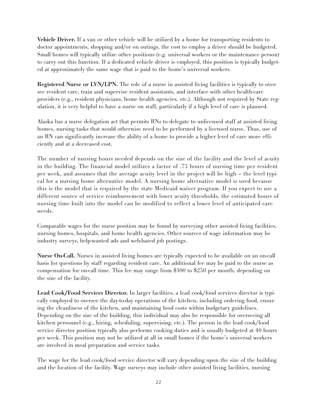Vehicle Driver. If a van or other vehicle will be utilized by a home for transporting residents to doctor appointments, shopping and/or on outings, the cost to employ a driver should be budgeted. Small homes will typically utilize other positions (e.g. universal workers or the maintenance person) to carry out this function. If a dedicated vehicle driver is employed, this position is typically budgeted at approximately the same wage that is paid to the home's universal workers.

Registered Nurse or LVN/LPN. The role of a nurse in assisted living facilities is typically to oversee resident care, train and supervise resident assistants, and interface with other health-care providers (e.g., resident physicians, home health agencies, etc.). Although not required by State regulation, it is very helpful to have a nurse on staff, particularly if a high level of care is planned.

Alaska has a nurse delegation act that permits RNs to delegate to unlicensed staff at assisted living homes, nursing tasks that would otherwise need to be performed by a licensed nurse. Thus, use of an RN can significantly increase the ability of a home to provide a higher level of care more efficiently and at a decreased cost.

The number of nursing hours needed depends on the size of the facility and the level of acuity in the building. The financial model utilizes a factor of .75 hours of nursing time per resident per week, and assumes that the average acuity level in the project will be high – the level typical for a nursing home alternative model. A nursing home alternative model is used because this is the model that is required by the state Medicaid waiver program. If you expect to use a different source of service reimbursement with lower acuity thresholds, the estimated hours of nursing time built into the model can be modified to reflect a lower level of anticipated care needs.

Comparable wages for the nurse position may be found by surveying other assisted living facilities, nursing homes, hospitals, and home health agencies. Other sources of wage information may be industry surveys, help-wanted ads and web-based job postings.

Nurse On-Call. Nurses in assisted living homes are typically expected to be available on an on-call basis for questions by staff regarding resident care. An additional fee may be paid to the nurse as compensation for on-call time. This fee may range from \$100 to \$250 per month, depending on the size of the facility.

Lead Cook/Food Services Director. In larger facilities, a lead cook/food services director is typically employed to oversee the day-to-day operations of the kitchen, including ordering food, ensuring the cleanliness of the kitchen, and maintaining food costs within budgetary guidelines. Depending on the size of the building, this individual may also be responsible for overseeing all kitchen personnel (e.g., hiring, scheduling, supervising, etc.). The person in the lead cook/food service director position typically also performs cooking duties and is usually budgeted at 40 hours per week. This position may not be utilized at all in small homes if the home's universal workers are involved in meal preparation and service tasks.

The wage for the lead cook/food service director will vary depending upon the size of the building and the location of the facility. Wage surveys may include other assisted living facilities, nursing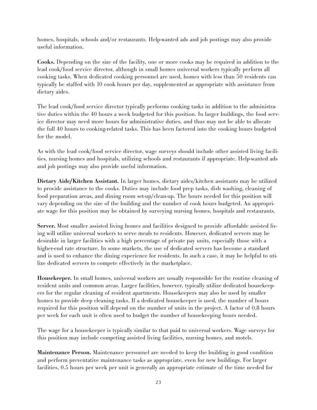homes, hospitals, schools and/or restaurants. Help-wanted ads and job postings may also provide useful information.

Cooks. Depending on the size of the facility, one or more cooks may be required in addition to the lead cook/food service director, although in small homes universal workers typically perform all cooking tasks. When dedicated cooking personnel are used, homes with less than 50 residents can typically be staffed with 10 cook hours per day, supplemented as appropriate with assistance from dietary aides.

The lead cook/food service director typically performs cooking tasks in addition to the administrative duties within the 40 hours a week budgeted for this position. In larger buildings, the food service director may need more hours for administrative duties, and thus may not be able to allocate the full 40 hours to cooking-related tasks. This has been factored into the cooking hours budgeted for the model.

As with the lead cook/food service director, wage surveys should include other assisted living facilities, nursing homes and hospitals, utilizing schools and restaurants if appropriate. Help-wanted ads and job postings may also provide useful information.

Dietary Aide/Kitchen Assistant. In larger homes, dietary aides/kitchen assistants may be utilized to provide assistance to the cooks. Duties may include food prep tasks, dish washing, cleaning of food preparation areas, and dining room set-up/clean-up. The hours needed for this position will vary depending on the size of the building and the number of cook hours budgeted. An appropriate wage for this position may be obtained by surveying nursing homes, hospitals and restaurants.

Server. Most smaller assisted living homes and facilities designed to provide affordable assisted living will utilize universal workers to serve meals to residents. However, dedicated servers may be desirable in larger facilities with a high percentage of private pay units, especially those with a higher-end rate structure. In some markets, the use of dedicated servers has become a standard and is used to enhance the dining experience for residents. In such a case, it may be helpful to utilize dedicated servers to compete effectively in the marketplace.

Housekeeper. In small homes, universal workers are usually responsible for the routine cleaning of resident units and common areas. Larger facilities, however, typically utilize dedicated housekeepers for the regular cleaning of resident apartments. Housekeepers may also be used by smaller homes to provide deep cleaning tasks. If a dedicated housekeeper is used, the number of hours required for this position will depend on the number of units in the project. A factor of 0.8 hours per week for each unit is often used to budget the number of housekeeping hours needed.

The wage for a housekeeper is typically similar to that paid to universal workers. Wage surveys for this position may include competing assisted living facilities, nursing homes, and motels.

Maintenance Person. Maintenance personnel are needed to keep the building in good condition and perform preventative maintenance tasks as appropriate, even for new buildings. For larger facilities, 0.5 hours per week per unit is generally an appropriate estimate of the time needed for